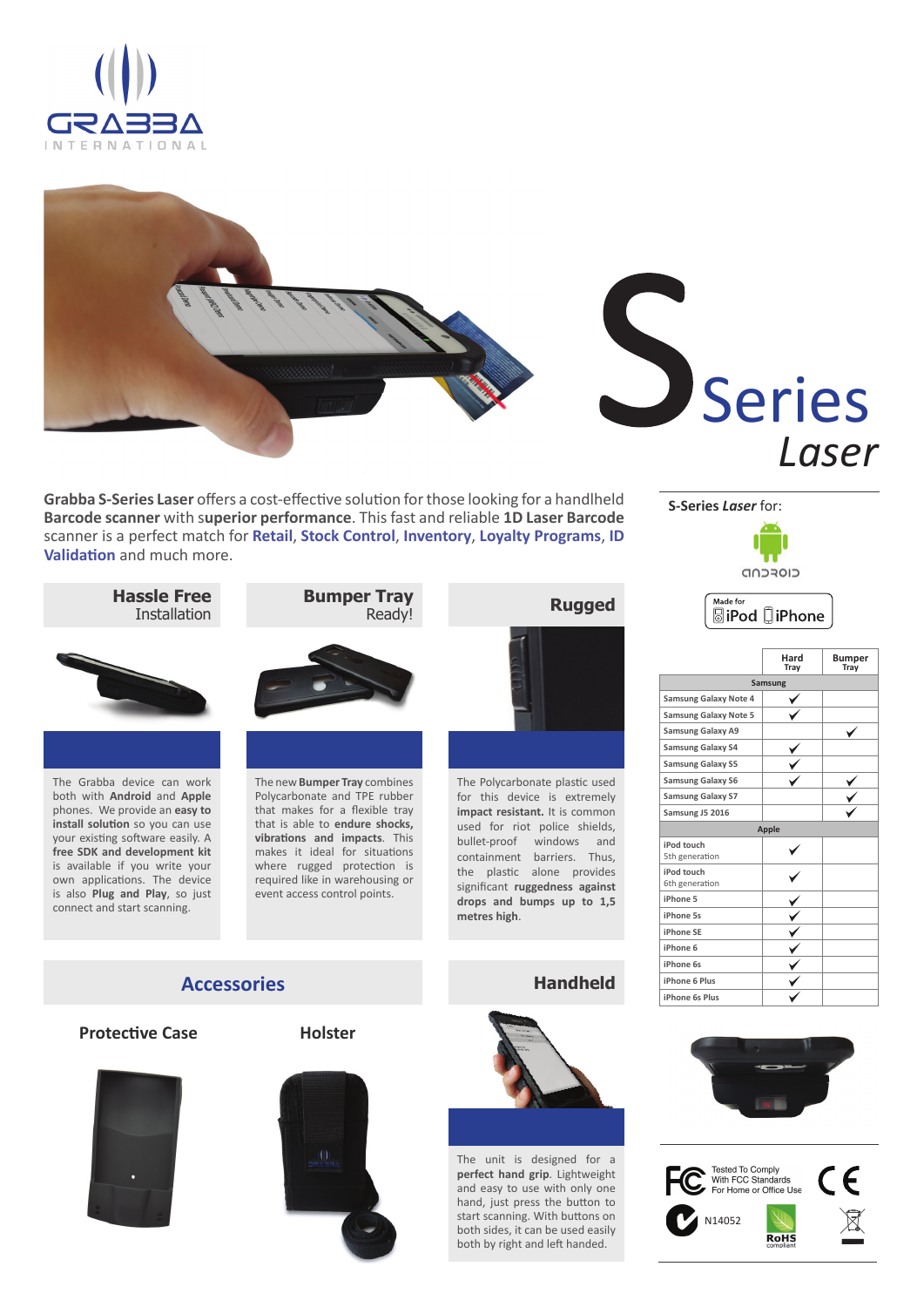





**Grabba S-Series Laser** offers a cost-effective solution for those looking for a handlheld **Barcode scanner** with s**uperior performance**. This fast and reliable **1D Laser Barcode**  scanner is a perfect match for **Retail**, **Stock Control**, **Inventory**, **Loyalty Programs**, **ID Validation** and much more.



Made for



**SiPod** □iPhone



**Hassle Free**

The Grabba device can work both with **Android** and **Apple** phones. We provide an **easy to install solution** so you can use your existing software easily. A **free SDK and development kit** is available if you write your own applications. The device is also **Plug and Play**, so just connect and start scanning.



The new **Bumper Tray** combines Polycarbonate and TPE rubber that makes for a flexible tray that is able to **endure shocks, vibraƟ ons and impacts**. This makes it ideal for situations where rugged protection is required like in warehousing or event access control points.



The Polycarbonate plastic used for this device is extremely **impact resistant.** It is common used for riot police shields, bullet-proof windows and containment barriers. Thus, the plastic alone provides signifi cant **ruggedness against drops and bumps up to 1,5 metres high**.

**Handheld**







The unit is designed for a **perfect hand grip**. Lightweight and easy to use with only one hand, just press the button to start scanning. With buttons on both sides, it can be used easily both by right and left handed.